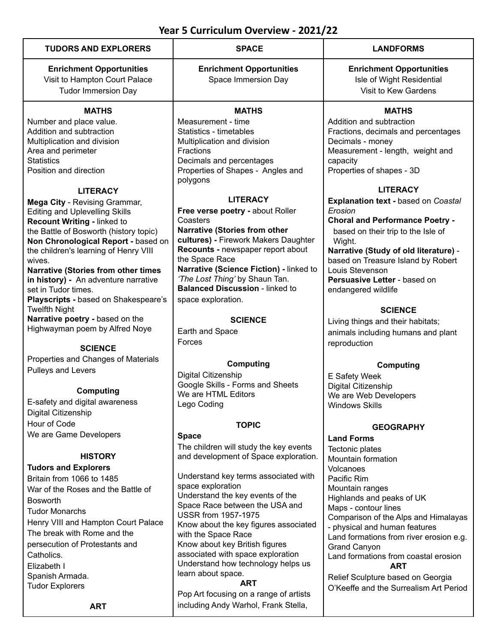| <b>TUDORS AND EXPLORERS</b>                          | <b>SPACE</b>                                                  | <b>LANDFORMS</b>                                                         |
|------------------------------------------------------|---------------------------------------------------------------|--------------------------------------------------------------------------|
| <b>Enrichment Opportunities</b>                      | <b>Enrichment Opportunities</b>                               | <b>Enrichment Opportunities</b>                                          |
| Visit to Hampton Court Palace                        | Space Immersion Day                                           | Isle of Wight Residential                                                |
| <b>Tudor Immersion Day</b>                           |                                                               | Visit to Kew Gardens                                                     |
|                                                      |                                                               |                                                                          |
| <b>MATHS</b>                                         | <b>MATHS</b>                                                  | <b>MATHS</b>                                                             |
| Number and place value.                              | Measurement - time                                            | Addition and subtraction                                                 |
| Addition and subtraction                             | Statistics - timetables                                       | Fractions, decimals and percentages                                      |
| Multiplication and division                          | Multiplication and division                                   | Decimals - money                                                         |
| Area and perimeter                                   | Fractions                                                     | Measurement - length, weight and                                         |
| <b>Statistics</b><br>Position and direction          | Decimals and percentages<br>Properties of Shapes - Angles and | capacity<br>Properties of shapes - 3D                                    |
|                                                      | polygons                                                      |                                                                          |
| <b>LITERACY</b>                                      |                                                               | <b>LITERACY</b>                                                          |
| Mega City - Revising Grammar,                        | <b>LITERACY</b>                                               | Explanation text - based on Coastal                                      |
| <b>Editing and Uplevelling Skills</b>                | Free verse poetry - about Roller                              | Erosion                                                                  |
| Recount Writing - linked to                          | Coasters                                                      | <b>Choral and Performance Poetry -</b>                                   |
| the Battle of Bosworth (history topic)               | <b>Narrative (Stories from other</b>                          | based on their trip to the Isle of                                       |
| Non Chronological Report - based on                  | cultures) - Firework Makers Daughter                          | Wight.                                                                   |
| the children's learning of Henry VIII                | Recounts - newspaper report about<br>the Space Race           | Narrative (Study of old literature) -                                    |
| wives.<br><b>Narrative (Stories from other times</b> | Narrative (Science Fiction) - linked to                       | based on Treasure Island by Robert<br>Louis Stevenson                    |
| in history) - An adventure narrative                 | 'The Lost Thing' by Shaun Tan.                                | Persuasive Letter - based on                                             |
| set in Tudor times.                                  | <b>Balanced Discussion - linked to</b>                        | endangered wildlife                                                      |
| Playscripts - based on Shakespeare's                 | space exploration.                                            |                                                                          |
| <b>Twelfth Night</b>                                 |                                                               | <b>SCIENCE</b>                                                           |
| Narrative poetry - based on the                      | <b>SCIENCE</b>                                                | Living things and their habitats;                                        |
| Highwayman poem by Alfred Noye                       | Earth and Space                                               | animals including humans and plant                                       |
| <b>SCIENCE</b>                                       | Forces                                                        | reproduction                                                             |
| Properties and Changes of Materials                  |                                                               |                                                                          |
| Pulleys and Levers                                   | <b>Computing</b>                                              | Computing                                                                |
|                                                      | Digital Citizenship                                           | E Safety Week                                                            |
| <b>Computing</b>                                     | Google Skills - Forms and Sheets                              | Digital Citizenship                                                      |
| E-safety and digital awareness                       | We are HTML Editors<br>Lego Coding                            | We are Web Developers                                                    |
| Digital Citizenship                                  |                                                               | <b>Windows Skills</b>                                                    |
| Hour of Code                                         | <b>TOPIC</b>                                                  |                                                                          |
| We are Game Developers                               | <b>Space</b>                                                  | <b>GEOGRAPHY</b><br><b>Land Forms</b>                                    |
|                                                      | The children will study the key events                        | Tectonic plates                                                          |
| <b>HISTORY</b>                                       | and development of Space exploration.                         | Mountain formation                                                       |
| <b>Tudors and Explorers</b>                          |                                                               | Volcanoes                                                                |
| Britain from 1066 to 1485                            | Understand key terms associated with                          | Pacific Rim                                                              |
| War of the Roses and the Battle of                   | space exploration                                             | Mountain ranges                                                          |
| <b>Bosworth</b>                                      | Understand the key events of the                              | Highlands and peaks of UK                                                |
| <b>Tudor Monarchs</b>                                | Space Race between the USA and<br><b>USSR from 1957-1975</b>  | Maps - contour lines                                                     |
| Henry VIII and Hampton Court Palace                  | Know about the key figures associated                         | Comparison of the Alps and Himalayas                                     |
| The break with Rome and the                          | with the Space Race                                           | - physical and human features<br>Land formations from river erosion e.g. |
| persecution of Protestants and                       | Know about key British figures                                | <b>Grand Canyon</b>                                                      |
| Catholics.                                           | associated with space exploration                             | Land formations from coastal erosion                                     |
| Elizabeth I                                          | Understand how technology helps us                            | <b>ART</b>                                                               |
| Spanish Armada.                                      | learn about space.                                            | Relief Sculpture based on Georgia                                        |
| <b>Tudor Explorers</b>                               | <b>ART</b>                                                    | O'Keeffe and the Surrealism Art Period                                   |
|                                                      | Pop Art focusing on a range of artists                        |                                                                          |
| <b>ART</b>                                           | including Andy Warhol, Frank Stella,                          |                                                                          |